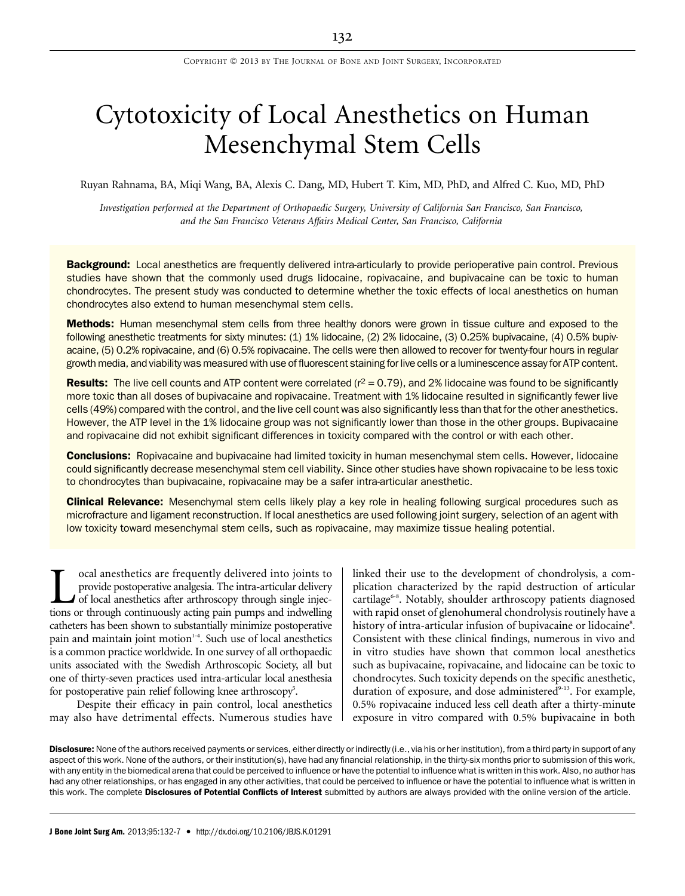# Cytotoxicity of Local Anesthetics on Human Mesenchymal Stem Cells

Ruyan Rahnama, BA, Miqi Wang, BA, Alexis C. Dang, MD, Hubert T. Kim, MD, PhD, and Alfred C. Kuo, MD, PhD

Investigation performed at the Department of Orthopaedic Surgery, University of California San Francisco, San Francisco, and the San Francisco Veterans Affairs Medical Center, San Francisco, California

**Background:** Local anesthetics are frequently delivered intra-articularly to provide perioperative pain control. Previous studies have shown that the commonly used drugs lidocaine, ropivacaine, and bupivacaine can be toxic to human chondrocytes. The present study was conducted to determine whether the toxic effects of local anesthetics on human chondrocytes also extend to human mesenchymal stem cells.

**Methods:** Human mesenchymal stem cells from three healthy donors were grown in tissue culture and exposed to the following anesthetic treatments for sixty minutes: (1) 1% lidocaine, (2) 2% lidocaine, (3) 0.25% bupivacaine, (4) 0.5% bupivacaine, (5) 0.2% ropivacaine, and (6) 0.5% ropivacaine. The cells were then allowed to recover for twenty-four hours in regular growth media, and viability was measured with use of fluorescent staining for live cells or a luminescence assay for ATP content.

**Results:** The live cell counts and ATP content were correlated  $(r^2 = 0.79)$ , and 2% lidocaine was found to be significantly more toxic than all doses of bupivacaine and ropivacaine. Treatment with 1% lidocaine resulted in significantly fewer live cells (49%) compared with the control, and the live cell count was also significantly less than that for the other anesthetics. However, the ATP level in the 1% lidocaine group was not significantly lower than those in the other groups. Bupivacaine and ropivacaine did not exhibit significant differences in toxicity compared with the control or with each other.

**Conclusions:** Ropivacaine and bupivacaine had limited toxicity in human mesenchymal stem cells. However, lidocaine could significantly decrease mesenchymal stem cell viability. Since other studies have shown ropivacaine to be less toxic to chondrocytes than bupivacaine, ropivacaine may be a safer intra-articular anesthetic.

Clinical Relevance: Mesenchymal stem cells likely play a key role in healing following surgical procedures such as microfracture and ligament reconstruction. If local anesthetics are used following joint surgery, selection of an agent with low toxicity toward mesenchymal stem cells, such as ropivacaine, may maximize tissue healing potential.

**Local anesthetics are frequently delivered into joints to provide postoperative analgesia. The intra-articular delivery of local anesthetics after arthroscopy through single injections or through continuously acting pain** provide postoperative analgesia. The intra-articular delivery of local anesthetics after arthroscopy through single injections or through continuously acting pain pumps and indwelling catheters has been shown to substantially minimize postoperative pain and maintain joint motion<sup>1-4</sup>. Such use of local anesthetics is a common practice worldwide. In one survey of all orthopaedic units associated with the Swedish Arthroscopic Society, all but one of thirty-seven practices used intra-articular local anesthesia for postoperative pain relief following knee arthroscopy<sup>5</sup>.

Despite their efficacy in pain control, local anesthetics may also have detrimental effects. Numerous studies have linked their use to the development of chondrolysis, a complication characterized by the rapid destruction of articular cartilage<sup>6-8</sup>. Notably, shoulder arthroscopy patients diagnosed with rapid onset of glenohumeral chondrolysis routinely have a history of intra-articular infusion of bupivacaine or lidocaine<sup>8</sup>. Consistent with these clinical findings, numerous in vivo and in vitro studies have shown that common local anesthetics such as bupivacaine, ropivacaine, and lidocaine can be toxic to chondrocytes. Such toxicity depends on the specific anesthetic, duration of exposure, and dose administered<sup>9-13</sup>. For example, 0.5% ropivacaine induced less cell death after a thirty-minute exposure in vitro compared with 0.5% bupivacaine in both

Disclosure: None of the authors received payments or services, either directly or indirectly (i.e., via his or her institution), from a third party in support of any aspect of this work. None of the authors, or their institution(s), have had any financial relationship, in the thirty-six months prior to submission of this work, with any entity in the biomedical arena that could be perceived to influence or have the potential to influence what is written in this work. Also, no author has had any other relationships, or has engaged in any other activities, that could be perceived to influence or have the potential to influence what is written in this work. The complete Disclosures of Potential Conflicts of Interest submitted by authors are always provided with the online version of the article.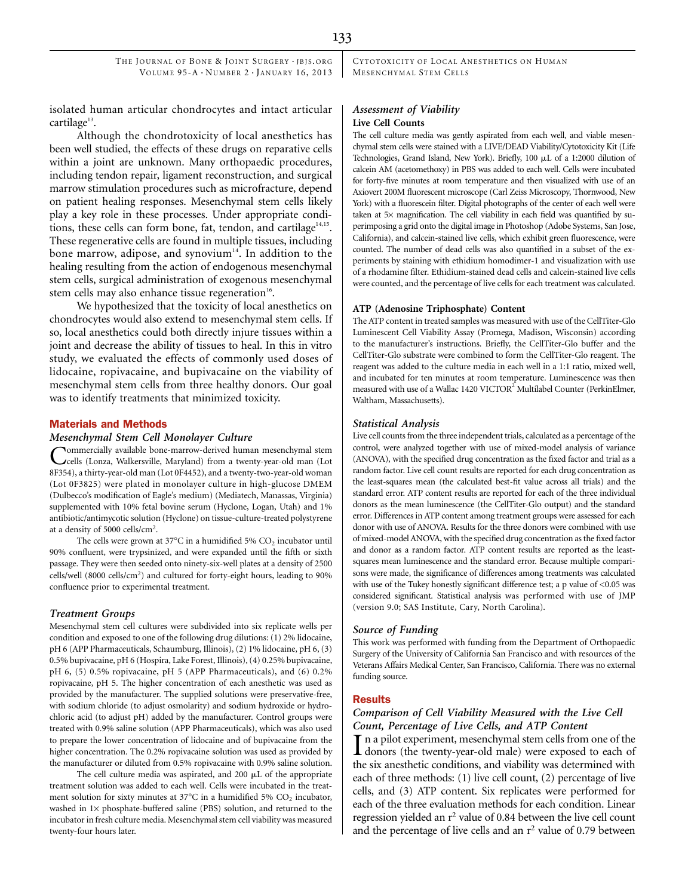THE JOURNAL OF BONE & JOINT SURGERY · JBJS.ORG VOLUME 95-A  $\cdot$  NUMBER 2  $\cdot$  JANUARY 16, 2013 CYTOTOXICITY OF LOCAL ANESTHETICS ON HUMAN MESENCHYMAL STEM CELLS

isolated human articular chondrocytes and intact articular cartilage $13$ .

Although the chondrotoxicity of local anesthetics has been well studied, the effects of these drugs on reparative cells within a joint are unknown. Many orthopaedic procedures, including tendon repair, ligament reconstruction, and surgical marrow stimulation procedures such as microfracture, depend on patient healing responses. Mesenchymal stem cells likely play a key role in these processes. Under appropriate conditions, these cells can form bone, fat, tendon, and cartilage $14,15$ . These regenerative cells are found in multiple tissues, including bone marrow, adipose, and synovium<sup>14</sup>. In addition to the healing resulting from the action of endogenous mesenchymal stem cells, surgical administration of exogenous mesenchymal stem cells may also enhance tissue regeneration<sup>16</sup>.

We hypothesized that the toxicity of local anesthetics on chondrocytes would also extend to mesenchymal stem cells. If so, local anesthetics could both directly injure tissues within a joint and decrease the ability of tissues to heal. In this in vitro study, we evaluated the effects of commonly used doses of lidocaine, ropivacaine, and bupivacaine on the viability of mesenchymal stem cells from three healthy donors. Our goal was to identify treatments that minimized toxicity.

#### Materials and Methods

## Mesenchymal Stem Cell Monolayer Culture

Commercially available bone-marrow-derived human mesenchymal stem cells (Lonza, Walkersville, Maryland) from a twenty-year-old man (Lot 8F354), a thirty-year-old man (Lot 0F4452), and a twenty-two-year-old woman (Lot 0F3825) were plated in monolayer culture in high-glucose DMEM (Dulbecco's modification of Eagle's medium) (Mediatech, Manassas, Virginia) supplemented with 10% fetal bovine serum (Hyclone, Logan, Utah) and 1% antibiotic/antimycotic solution (Hyclone) on tissue-culture-treated polystyrene at a density of 5000 cells/cm<sup>2</sup>.

The cells were grown at  $37^{\circ}$ C in a humidified 5%  $CO_2$  incubator until 90% confluent, were trypsinized, and were expanded until the fifth or sixth passage. They were then seeded onto ninety-six-well plates at a density of 2500 cells/well (8000 cells/cm<sup>2</sup>) and cultured for forty-eight hours, leading to 90% confluence prior to experimental treatment.

#### Treatment Groups

Mesenchymal stem cell cultures were subdivided into six replicate wells per condition and exposed to one of the following drug dilutions: (1) 2% lidocaine, pH 6 (APP Pharmaceuticals, Schaumburg, Illinois), (2) 1% lidocaine, pH 6, (3) 0.5% bupivacaine, pH 6 (Hospira, Lake Forest, Illinois), (4) 0.25% bupivacaine, pH 6, (5) 0.5% ropivacaine, pH 5 (APP Pharmaceuticals), and (6) 0.2% ropivacaine, pH 5. The higher concentration of each anesthetic was used as provided by the manufacturer. The supplied solutions were preservative-free, with sodium chloride (to adjust osmolarity) and sodium hydroxide or hydrochloric acid (to adjust pH) added by the manufacturer. Control groups were treated with 0.9% saline solution (APP Pharmaceuticals), which was also used to prepare the lower concentration of lidocaine and of bupivacaine from the higher concentration. The 0.2% ropivacaine solution was used as provided by the manufacturer or diluted from 0.5% ropivacaine with 0.9% saline solution.

The cell culture media was aspirated, and 200 µL of the appropriate treatment solution was added to each well. Cells were incubated in the treatment solution for sixty minutes at  $37^{\circ}$ C in a humidified 5% CO<sub>2</sub> incubator, washed in  $1\times$  phosphate-buffered saline (PBS) solution, and returned to the incubator in fresh culture media. Mesenchymal stem cell viability was measured twenty-four hours later.

# Assessment of Viability Live Cell Counts

The cell culture media was gently aspirated from each well, and viable mesenchymal stem cells were stained with a LIVE/DEAD Viability/Cytotoxicity Kit (Life Technologies, Grand Island, New York). Briefly, 100 µL of a 1:2000 dilution of calcein AM (acetomethoxy) in PBS was added to each well. Cells were incubated for forty-five minutes at room temperature and then visualized with use of an Axiovert 200M fluorescent microscope (Carl Zeiss Microscopy, Thornwood, New York) with a fluorescein filter. Digital photographs of the center of each well were taken at  $5\times$  magnification. The cell viability in each field was quantified by superimposing a grid onto the digital image in Photoshop (Adobe Systems, San Jose, California), and calcein-stained live cells, which exhibit green fluorescence, were counted. The number of dead cells was also quantified in a subset of the experiments by staining with ethidium homodimer-1 and visualization with use of a rhodamine filter. Ethidium-stained dead cells and calcein-stained live cells were counted, and the percentage of live cells for each treatment was calculated.

## ATP (Adenosine Triphosphate) Content

The ATP content in treated samples was measured with use of the CellTiter-Glo Luminescent Cell Viability Assay (Promega, Madison, Wisconsin) according to the manufacturer's instructions. Briefly, the CellTiter-Glo buffer and the CellTiter-Glo substrate were combined to form the CellTiter-Glo reagent. The reagent was added to the culture media in each well in a 1:1 ratio, mixed well, and incubated for ten minutes at room temperature. Luminescence was then measured with use of a Wallac 1420 VICTOR<sup>2</sup> Multilabel Counter (PerkinElmer, Waltham, Massachusetts).

## Statistical Analysis

Live cell counts from the three independent trials, calculated as a percentage of the control, were analyzed together with use of mixed-model analysis of variance (ANOVA), with the specified drug concentration as the fixed factor and trial as a random factor. Live cell count results are reported for each drug concentration as the least-squares mean (the calculated best-fit value across all trials) and the standard error. ATP content results are reported for each of the three individual donors as the mean luminescence (the CellTiter-Glo output) and the standard error. Differences in ATP content among treatment groups were assessed for each donor with use of ANOVA. Results for the three donors were combined with use of mixed-model ANOVA, with the specified drug concentration as the fixed factor and donor as a random factor. ATP content results are reported as the leastsquares mean luminescence and the standard error. Because multiple comparisons were made, the significance of differences among treatments was calculated with use of the Tukey honestly significant difference test; a p value of <0.05 was considered significant. Statistical analysis was performed with use of JMP (version 9.0; SAS Institute, Cary, North Carolina).

#### Source of Funding

This work was performed with funding from the Department of Orthopaedic Surgery of the University of California San Francisco and with resources of the Veterans Affairs Medical Center, San Francisco, California. There was no external funding source.

#### **Results**

# Comparison of Cell Viability Measured with the Live Cell Count, Percentage of Live Cells, and ATP Content

In a pilot experiment, mesenchymal stem cells from one of the donors (the twenty-year-old male) were exposed to each of  $\blacksquare$  n a pilot experiment, mesenchymal stem cells from one of the the six anesthetic conditions, and viability was determined with each of three methods: (1) live cell count, (2) percentage of live cells, and (3) ATP content. Six replicates were performed for each of the three evaluation methods for each condition. Linear regression yielded an  $r^2$  value of 0.84 between the live cell count and the percentage of live cells and an  $r^2$  value of 0.79 between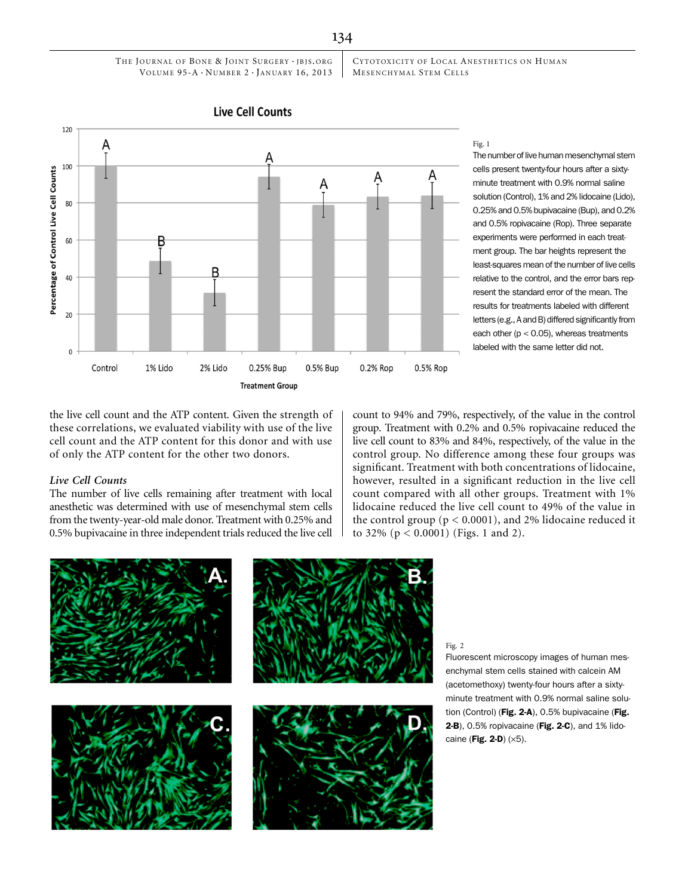CYTOTOXICITY OF LOCAL ANESTHETICS ON HUMAN MESENCHYMAL STEM CELLS



**Live Cell Counts** 

#### Fig. 1

The number of live human mesenchymal stem cells present twenty-four hours after a sixtyminute treatment with 0.9% normal saline solution (Control), 1% and 2% lidocaine (Lido), 0.25% and 0.5% bupivacaine (Bup), and 0.2% and 0.5% ropivacaine (Rop). Three separate experiments were performed in each treatment group. The bar heights represent the least-squares mean of the number of live cells relative to the control, and the error bars represent the standard error of the mean. The results for treatments labeled with different letters (e.g., A and B) differed significantly from each other  $(p < 0.05)$ , whereas treatments labeled with the same letter did not.

the live cell count and the ATP content. Given the strength of these correlations, we evaluated viability with use of the live cell count and the ATP content for this donor and with use of only the ATP content for the other two donors.

## Live Cell Counts

The number of live cells remaining after treatment with local anesthetic was determined with use of mesenchymal stem cells from the twenty-year-old male donor. Treatment with 0.25% and 0.5% bupivacaine in three independent trials reduced the live cell count to 94% and 79%, respectively, of the value in the control group. Treatment with 0.2% and 0.5% ropivacaine reduced the live cell count to 83% and 84%, respectively, of the value in the control group. No difference among these four groups was significant. Treatment with both concentrations of lidocaine, however, resulted in a significant reduction in the live cell count compared with all other groups. Treatment with 1% lidocaine reduced the live cell count to 49% of the value in the control group ( $p < 0.0001$ ), and 2% lidocaine reduced it to 32% (p < 0.0001) (Figs. 1 and 2).



Fluorescent microscopy images of human mesenchymal stem cells stained with calcein AM (acetomethoxy) twenty-four hours after a sixtyminute treatment with 0.9% normal saline solution (Control) (Fig. 2-A), 0.5% bupivacaine (Fig. 2-B), 0.5% ropivacaine (Fig. 2-C), and 1% lidocaine (Fig. 2-D)  $(\times 5)$ .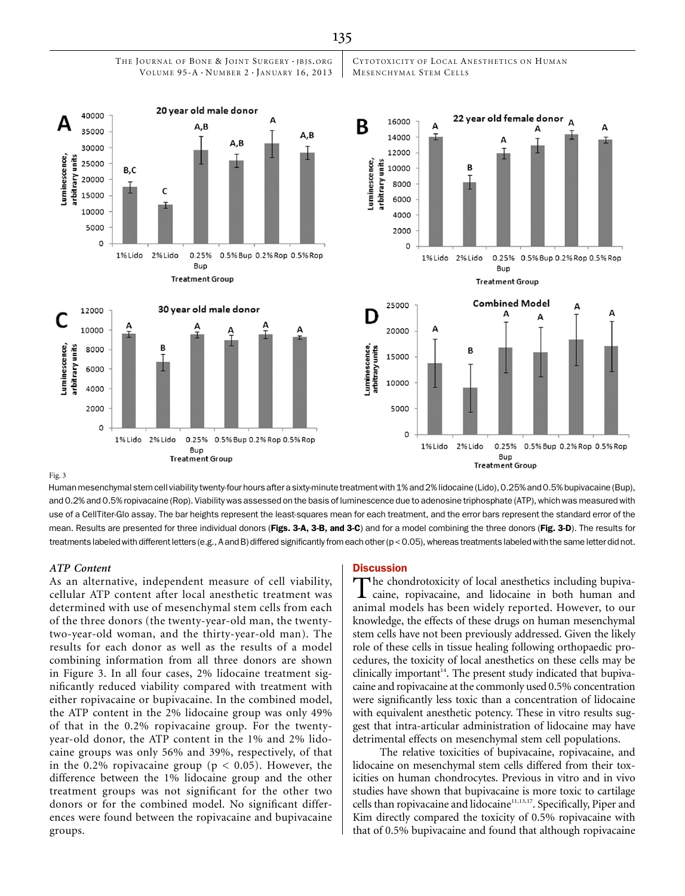

THE JOURNAL OF BONE & JOINT SURGERY · JBJS.ORG



Fig. 3

Human mesenchymal stem cell viability twenty-four hours after a sixty-minute treatment with 1% and 2% lidocaine (Lido), 0.25% and 0.5% bupivacaine (Bup), and 0.2% and 0.5% ropivacaine (Rop). Viability was assessed on the basis of luminescence due to adenosine triphosphate (ATP), which was measured with use of a CellTiter-Glo assay. The bar heights represent the least-squares mean for each treatment, and the error bars represent the standard error of the mean. Results are presented for three individual donors (Figs. 3-A, 3-B, and 3-C) and for a model combining the three donors (Fig. 3-D). The results for treatments labeled with different letters(e.g., A and B) differed significantly from each other (p < 0.05), whereas treatments labeled with the same letter did not.

## ATP Content

As an alternative, independent measure of cell viability, cellular ATP content after local anesthetic treatment was determined with use of mesenchymal stem cells from each of the three donors (the twenty-year-old man, the twentytwo-year-old woman, and the thirty-year-old man). The results for each donor as well as the results of a model combining information from all three donors are shown in Figure 3. In all four cases, 2% lidocaine treatment significantly reduced viability compared with treatment with either ropivacaine or bupivacaine. In the combined model, the ATP content in the 2% lidocaine group was only 49% of that in the 0.2% ropivacaine group. For the twentyyear-old donor, the ATP content in the 1% and 2% lidocaine groups was only 56% and 39%, respectively, of that in the 0.2% ropivacaine group ( $p < 0.05$ ). However, the difference between the 1% lidocaine group and the other treatment groups was not significant for the other two donors or for the combined model. No significant differences were found between the ropivacaine and bupivacaine groups.

**Treatment Group** 

#### **Discussion**

The chondrotoxicity of local anesthetics including bupiva-caine, ropivacaine, and lidocaine in both human and animal models has been widely reported. However, to our knowledge, the effects of these drugs on human mesenchymal stem cells have not been previously addressed. Given the likely role of these cells in tissue healing following orthopaedic procedures, the toxicity of local anesthetics on these cells may be clinically important<sup>14</sup>. The present study indicated that bupivacaine and ropivacaine at the commonly used 0.5% concentration were significantly less toxic than a concentration of lidocaine with equivalent anesthetic potency. These in vitro results suggest that intra-articular administration of lidocaine may have detrimental effects on mesenchymal stem cell populations.

The relative toxicities of bupivacaine, ropivacaine, and lidocaine on mesenchymal stem cells differed from their toxicities on human chondrocytes. Previous in vitro and in vivo studies have shown that bupivacaine is more toxic to cartilage cells than ropivacaine and lidocaine<sup>11,13,17</sup>. Specifically, Piper and Kim directly compared the toxicity of 0.5% ropivacaine with that of 0.5% bupivacaine and found that although ropivacaine

135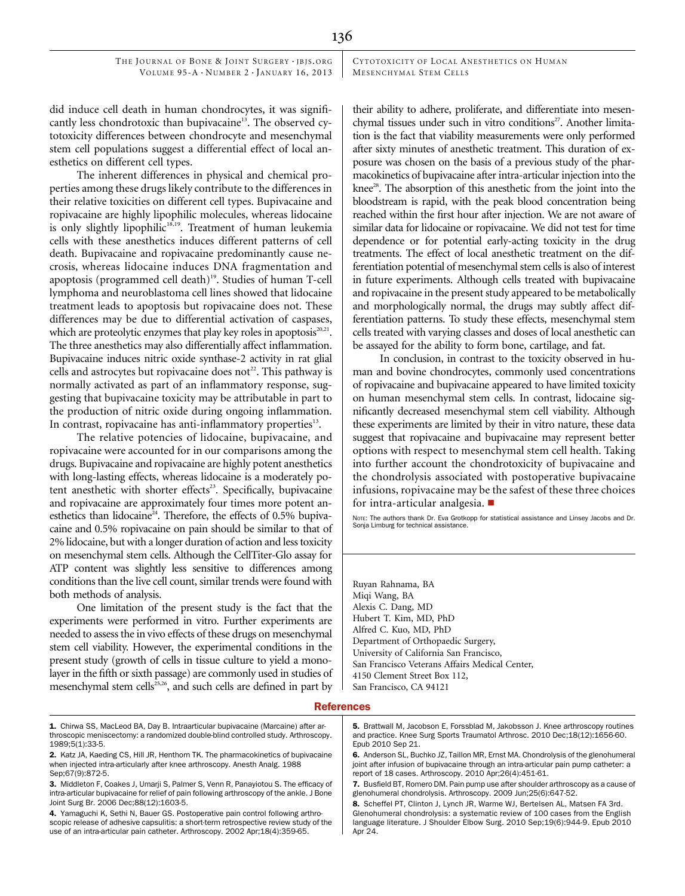THE JOURNAL OF BONE & JOINT SURGERY · JBJS.ORG VOLUME 95-A  $\cdot$  NUMBER 2  $\cdot$  JANUARY 16, 2013 CYTOTOXICITY OF LOCAL ANESTHETICS ON HUMAN MESENCHYMAL STEM CELLS

did induce cell death in human chondrocytes, it was significantly less chondrotoxic than bupivacaine<sup>13</sup>. The observed cytotoxicity differences between chondrocyte and mesenchymal stem cell populations suggest a differential effect of local anesthetics on different cell types.

The inherent differences in physical and chemical properties among these drugs likely contribute to the differences in their relative toxicities on different cell types. Bupivacaine and ropivacaine are highly lipophilic molecules, whereas lidocaine is only slightly lipophilic<sup>18,19</sup>. Treatment of human leukemia cells with these anesthetics induces different patterns of cell death. Bupivacaine and ropivacaine predominantly cause necrosis, whereas lidocaine induces DNA fragmentation and apoptosis (programmed cell death)<sup>19</sup>. Studies of human T-cell lymphoma and neuroblastoma cell lines showed that lidocaine treatment leads to apoptosis but ropivacaine does not. These differences may be due to differential activation of caspases, which are proteolytic enzymes that play key roles in apoptosis<sup>20,21</sup>. The three anesthetics may also differentially affect inflammation. Bupivacaine induces nitric oxide synthase-2 activity in rat glial cells and astrocytes but ropivacaine does not<sup>22</sup>. This pathway is normally activated as part of an inflammatory response, suggesting that bupivacaine toxicity may be attributable in part to the production of nitric oxide during ongoing inflammation. In contrast, ropivacaine has anti-inflammatory properties<sup>13</sup>.

The relative potencies of lidocaine, bupivacaine, and ropivacaine were accounted for in our comparisons among the drugs. Bupivacaine and ropivacaine are highly potent anesthetics with long-lasting effects, whereas lidocaine is a moderately potent anesthetic with shorter effects<sup>23</sup>. Specifically, bupivacaine and ropivacaine are approximately four times more potent anesthetics than lidocaine<sup>24</sup>. Therefore, the effects of  $0.5\%$  bupivacaine and 0.5% ropivacaine on pain should be similar to that of 2% lidocaine, but with a longer duration of action and less toxicity on mesenchymal stem cells. Although the CellTiter-Glo assay for ATP content was slightly less sensitive to differences among conditions than the live cell count, similar trends were found with both methods of analysis.

One limitation of the present study is the fact that the experiments were performed in vitro. Further experiments are needed to assess the in vivo effects of these drugs on mesenchymal stem cell viability. However, the experimental conditions in the present study (growth of cells in tissue culture to yield a monolayer in the fifth or sixth passage) are commonly used in studies of mesenchymal stem cells<sup>25,26</sup>, and such cells are defined in part by their ability to adhere, proliferate, and differentiate into mesenchymal tissues under such in vitro conditions<sup>27</sup>. Another limitation is the fact that viability measurements were only performed after sixty minutes of anesthetic treatment. This duration of exposure was chosen on the basis of a previous study of the pharmacokinetics of bupivacaine after intra-articular injection into the knee<sup>28</sup>. The absorption of this anesthetic from the joint into the bloodstream is rapid, with the peak blood concentration being reached within the first hour after injection. We are not aware of similar data for lidocaine or ropivacaine. We did not test for time dependence or for potential early-acting toxicity in the drug treatments. The effect of local anesthetic treatment on the differentiation potential of mesenchymal stem cells is also of interest in future experiments. Although cells treated with bupivacaine and ropivacaine in the present study appeared to be metabolically and morphologically normal, the drugs may subtly affect differentiation patterns. To study these effects, mesenchymal stem cells treated with varying classes and doses of local anesthetic can be assayed for the ability to form bone, cartilage, and fat.

In conclusion, in contrast to the toxicity observed in human and bovine chondrocytes, commonly used concentrations of ropivacaine and bupivacaine appeared to have limited toxicity on human mesenchymal stem cells. In contrast, lidocaine significantly decreased mesenchymal stem cell viability. Although these experiments are limited by their in vitro nature, these data suggest that ropivacaine and bupivacaine may represent better options with respect to mesenchymal stem cell health. Taking into further account the chondrotoxicity of bupivacaine and the chondrolysis associated with postoperative bupivacaine infusions, ropivacaine may be the safest of these three choices for intra-articular analgesia.  $\blacksquare$ 

NOTE: The authors thank Dr. Eva Grotkopp for statistical assistance and Linsey Jacobs and Dr. Sonja Limburg for technical assistance.

Ruyan Rahnama, BA Miqi Wang, BA Alexis C. Dang, MD Hubert T. Kim, MD, PhD Alfred C. Kuo, MD, PhD Department of Orthopaedic Surgery, University of California San Francisco, San Francisco Veterans Affairs Medical Center, 4150 Clement Street Box 112, San Francisco, CA 94121

#### **References**

5. Brattwall M, Jacobson E, Forssblad M, Jakobsson J. Knee arthroscopy routines and practice. Knee Surg Sports Traumatol Arthrosc. 2010 Dec;18(12):1656-60. Epub 2010 Sep 21.

6. Anderson SL, Buchko JZ, Taillon MR, Ernst MA. Chondrolysis of the glenohumeral joint after infusion of bupivacaine through an intra-articular pain pump catheter: a report of 18 cases. Arthroscopy. 2010 Apr;26(4):451-61.

<sup>1.</sup> Chirwa SS, MacLeod BA, Day B. Intraarticular bupivacaine (Marcaine) after arthroscopic meniscectomy: a randomized double-blind controlled study. Arthroscopy. 1989;5(1):33-5.

<sup>2.</sup> Katz JA, Kaeding CS, Hill JR, Henthorn TK. The pharmacokinetics of bupivacaine when injected intra-articularly after knee arthroscopy. Anesth Analg. 1988 Sep:67(9):872-5.

<sup>3.</sup> Middleton F, Coakes J, Umarji S, Palmer S, Venn R, Panayiotou S. The efficacy of intra-articular bupivacaine for relief of pain following arthroscopy of the ankle. J Bone Joint Surg Br. 2006 Dec;88(12):1603-5.

<sup>4.</sup> Yamaguchi K, Sethi N, Bauer GS. Postoperative pain control following arthroscopic release of adhesive capsulitis: a short-term retrospective review study of the use of an intra-articular pain catheter. Arthroscopy. 2002 Apr;18(4):359-65.

<sup>7.</sup> Busfield BT, Romero DM. Pain pump use after shoulder arthroscopy as a cause of glenohumeral chondrolysis. Arthroscopy. 2009 Jun;25(6):647-52.

<sup>8.</sup> Scheffel PT, Clinton J, Lynch JR, Warme WJ, Bertelsen AL, Matsen FA 3rd. Glenohumeral chondrolysis: a systematic review of 100 cases from the English language literature. J Shoulder Elbow Surg. 2010 Sep;19(6):944-9. Epub 2010 Apr 24.